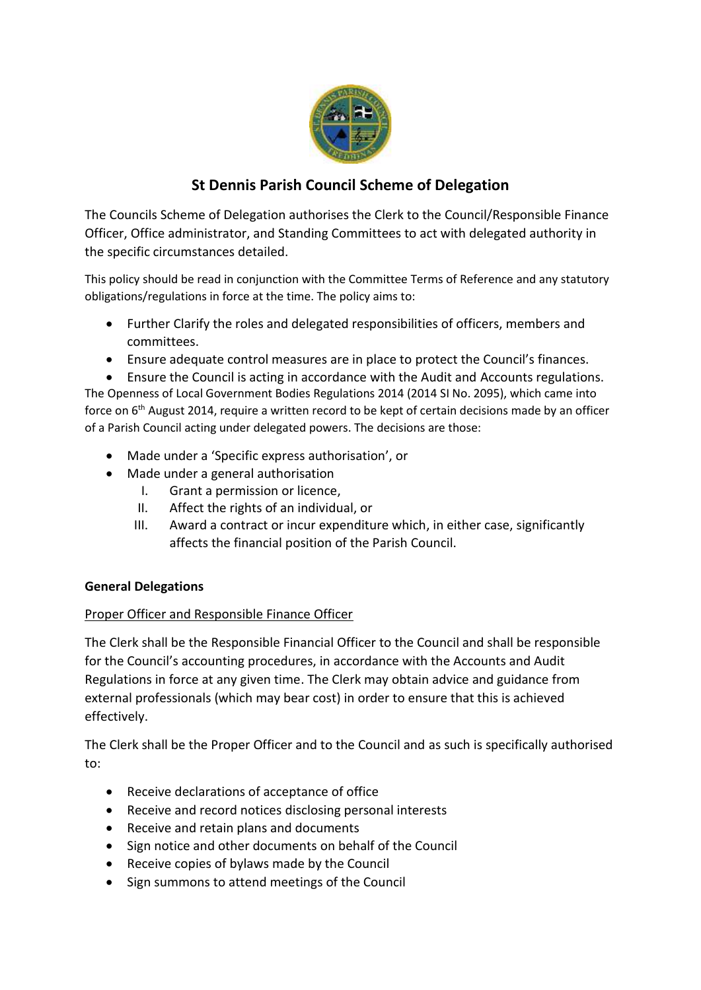

# **St Dennis Parish Council Scheme of Delegation**

The Councils Scheme of Delegation authorises the Clerk to the Council/Responsible Finance Officer, Office administrator, and Standing Committees to act with delegated authority in the specific circumstances detailed.

This policy should be read in conjunction with the Committee Terms of Reference and any statutory obligations/regulations in force at the time. The policy aims to:

- Further Clarify the roles and delegated responsibilities of officers, members and committees.
- Ensure adequate control measures are in place to protect the Council's finances.

• Ensure the Council is acting in accordance with the Audit and Accounts regulations. The Openness of Local Government Bodies Regulations 2014 (2014 SI No. 2095), which came into force on 6th August 2014, require a written record to be kept of certain decisions made by an officer of a Parish Council acting under delegated powers. The decisions are those:

- Made under a 'Specific express authorisation', or
- Made under a general authorisation
	- I. Grant a permission or licence,
	- II. Affect the rights of an individual, or
	- III. Award a contract or incur expenditure which, in either case, significantly affects the financial position of the Parish Council.

## **General Delegations**

## Proper Officer and Responsible Finance Officer

The Clerk shall be the Responsible Financial Officer to the Council and shall be responsible for the Council's accounting procedures, in accordance with the Accounts and Audit Regulations in force at any given time. The Clerk may obtain advice and guidance from external professionals (which may bear cost) in order to ensure that this is achieved effectively.

The Clerk shall be the Proper Officer and to the Council and as such is specifically authorised to:

- Receive declarations of acceptance of office
- Receive and record notices disclosing personal interests
- Receive and retain plans and documents
- Sign notice and other documents on behalf of the Council
- Receive copies of bylaws made by the Council
- Sign summons to attend meetings of the Council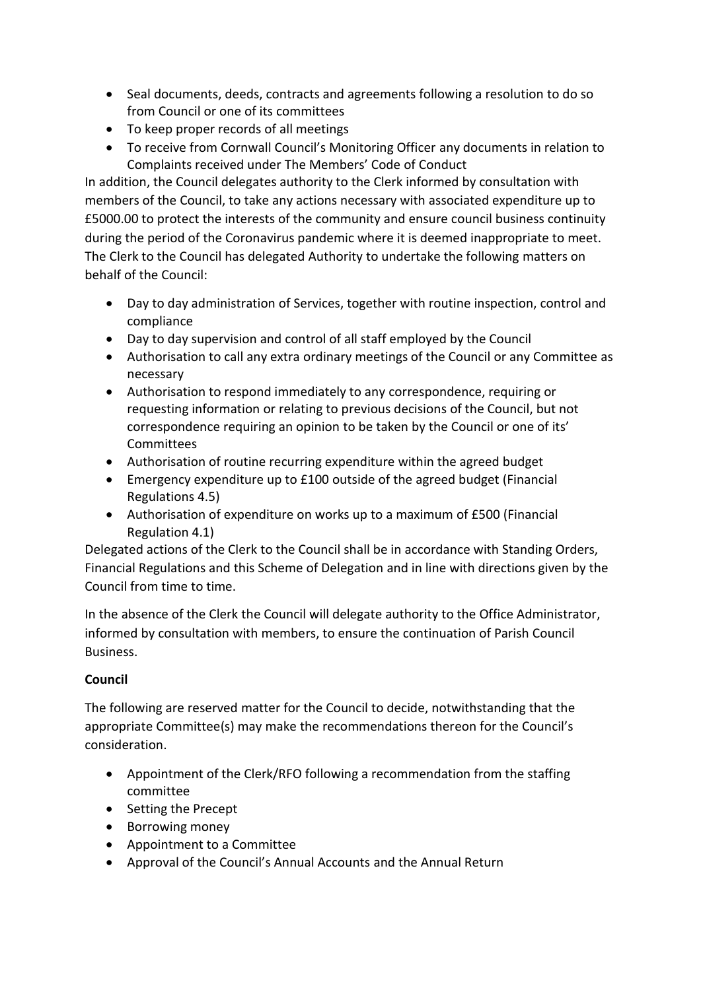- Seal documents, deeds, contracts and agreements following a resolution to do so from Council or one of its committees
- To keep proper records of all meetings
- To receive from Cornwall Council's Monitoring Officer any documents in relation to Complaints received under The Members' Code of Conduct

In addition, the Council delegates authority to the Clerk informed by consultation with members of the Council, to take any actions necessary with associated expenditure up to £5000.00 to protect the interests of the community and ensure council business continuity during the period of the Coronavirus pandemic where it is deemed inappropriate to meet. The Clerk to the Council has delegated Authority to undertake the following matters on behalf of the Council:

- Day to day administration of Services, together with routine inspection, control and compliance
- Day to day supervision and control of all staff employed by the Council
- Authorisation to call any extra ordinary meetings of the Council or any Committee as necessary
- Authorisation to respond immediately to any correspondence, requiring or requesting information or relating to previous decisions of the Council, but not correspondence requiring an opinion to be taken by the Council or one of its' Committees
- Authorisation of routine recurring expenditure within the agreed budget
- Emergency expenditure up to £100 outside of the agreed budget (Financial Regulations 4.5)
- Authorisation of expenditure on works up to a maximum of £500 (Financial Regulation 4.1)

Delegated actions of the Clerk to the Council shall be in accordance with Standing Orders, Financial Regulations and this Scheme of Delegation and in line with directions given by the Council from time to time.

In the absence of the Clerk the Council will delegate authority to the Office Administrator, informed by consultation with members, to ensure the continuation of Parish Council **Business** 

## **Council**

The following are reserved matter for the Council to decide, notwithstanding that the appropriate Committee(s) may make the recommendations thereon for the Council's consideration.

- Appointment of the Clerk/RFO following a recommendation from the staffing committee
- Setting the Precept
- Borrowing money
- Appointment to a Committee
- Approval of the Council's Annual Accounts and the Annual Return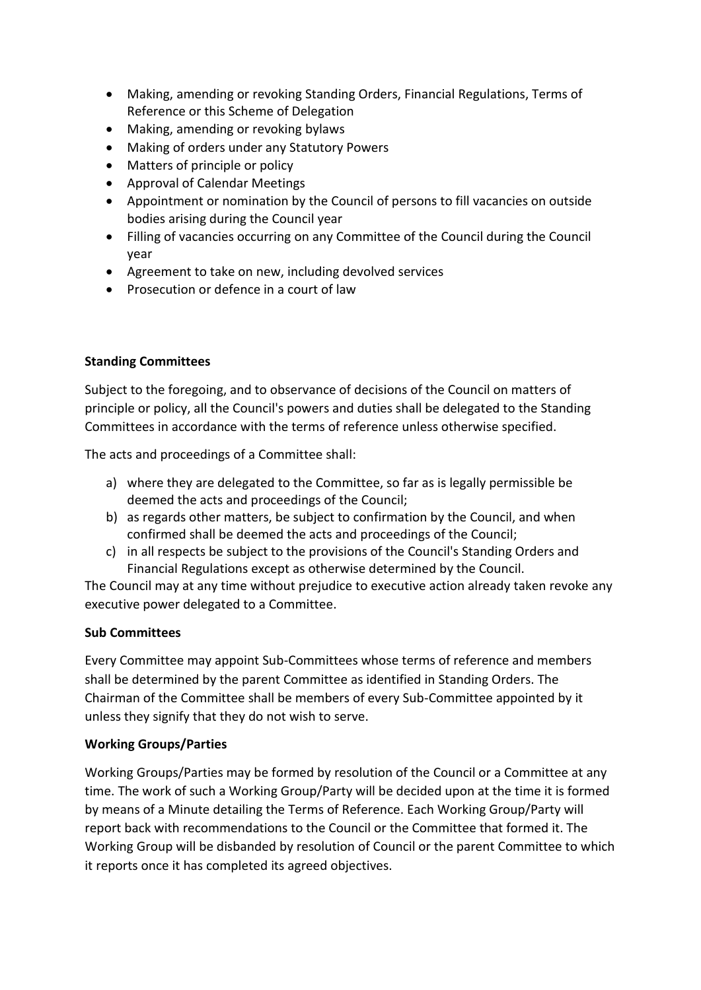- Making, amending or revoking Standing Orders, Financial Regulations, Terms of Reference or this Scheme of Delegation
- Making, amending or revoking bylaws
- Making of orders under any Statutory Powers
- Matters of principle or policy
- Approval of Calendar Meetings
- Appointment or nomination by the Council of persons to fill vacancies on outside bodies arising during the Council year
- Filling of vacancies occurring on any Committee of the Council during the Council year
- Agreement to take on new, including devolved services
- Prosecution or defence in a court of law

## **Standing Committees**

Subject to the foregoing, and to observance of decisions of the Council on matters of principle or policy, all the Council's powers and duties shall be delegated to the Standing Committees in accordance with the terms of reference unless otherwise specified.

The acts and proceedings of a Committee shall:

- a) where they are delegated to the Committee, so far as is legally permissible be deemed the acts and proceedings of the Council;
- b) as regards other matters, be subject to confirmation by the Council, and when confirmed shall be deemed the acts and proceedings of the Council;
- c) in all respects be subject to the provisions of the Council's Standing Orders and Financial Regulations except as otherwise determined by the Council.

The Council may at any time without prejudice to executive action already taken revoke any executive power delegated to a Committee.

#### **Sub Committees**

Every Committee may appoint Sub-Committees whose terms of reference and members shall be determined by the parent Committee as identified in Standing Orders. The Chairman of the Committee shall be members of every Sub-Committee appointed by it unless they signify that they do not wish to serve.

## **Working Groups/Parties**

Working Groups/Parties may be formed by resolution of the Council or a Committee at any time. The work of such a Working Group/Party will be decided upon at the time it is formed by means of a Minute detailing the Terms of Reference. Each Working Group/Party will report back with recommendations to the Council or the Committee that formed it. The Working Group will be disbanded by resolution of Council or the parent Committee to which it reports once it has completed its agreed objectives.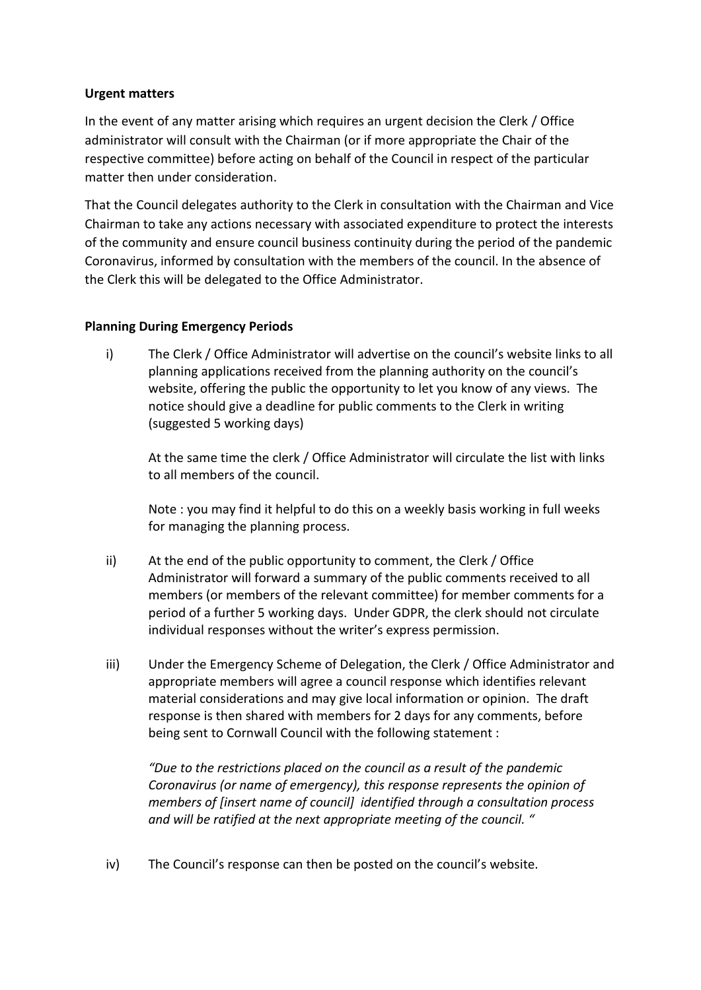#### **Urgent matters**

In the event of any matter arising which requires an urgent decision the Clerk / Office administrator will consult with the Chairman (or if more appropriate the Chair of the respective committee) before acting on behalf of the Council in respect of the particular matter then under consideration.

That the Council delegates authority to the Clerk in consultation with the Chairman and Vice Chairman to take any actions necessary with associated expenditure to protect the interests of the community and ensure council business continuity during the period of the pandemic Coronavirus, informed by consultation with the members of the council. In the absence of the Clerk this will be delegated to the Office Administrator.

#### **Planning During Emergency Periods**

i) The Clerk / Office Administrator will advertise on the council's website links to all planning applications received from the planning authority on the council's website, offering the public the opportunity to let you know of any views. The notice should give a deadline for public comments to the Clerk in writing (suggested 5 working days)

At the same time the clerk / Office Administrator will circulate the list with links to all members of the council.

Note : you may find it helpful to do this on a weekly basis working in full weeks for managing the planning process.

- ii) At the end of the public opportunity to comment, the Clerk / Office Administrator will forward a summary of the public comments received to all members (or members of the relevant committee) for member comments for a period of a further 5 working days. Under GDPR, the clerk should not circulate individual responses without the writer's express permission.
- iii) Under the Emergency Scheme of Delegation, the Clerk / Office Administrator and appropriate members will agree a council response which identifies relevant material considerations and may give local information or opinion. The draft response is then shared with members for 2 days for any comments, before being sent to Cornwall Council with the following statement :

*"Due to the restrictions placed on the council as a result of the pandemic Coronavirus (or name of emergency), this response represents the opinion of members of [insert name of council] identified through a consultation process and will be ratified at the next appropriate meeting of the council. "* 

iv) The Council's response can then be posted on the council's website.